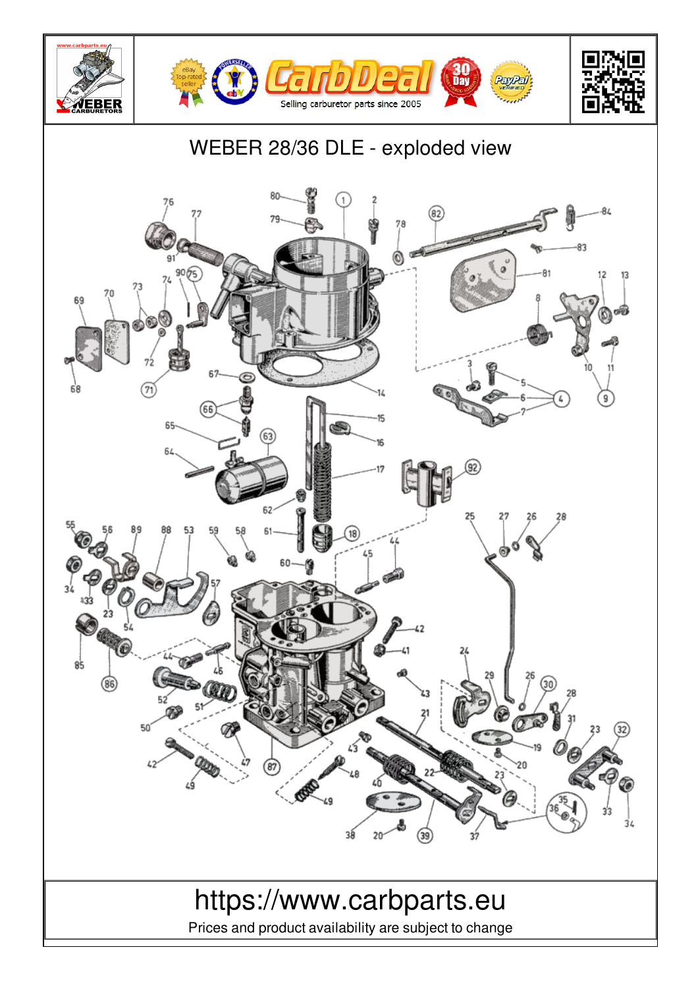